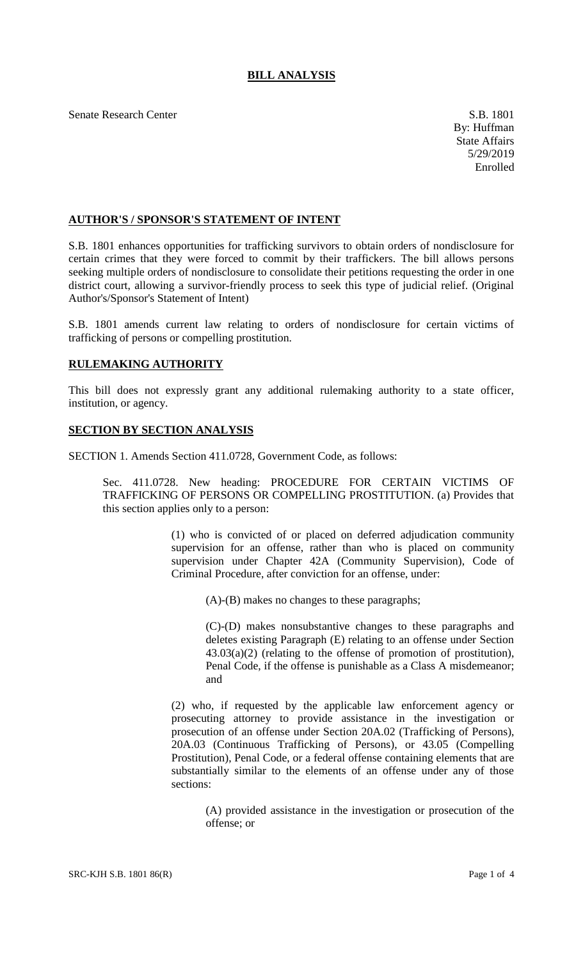## **BILL ANALYSIS**

Senate Research Center S.B. 1801

## **AUTHOR'S / SPONSOR'S STATEMENT OF INTENT**

S.B. 1801 enhances opportunities for trafficking survivors to obtain orders of nondisclosure for certain crimes that they were forced to commit by their traffickers. The bill allows persons seeking multiple orders of nondisclosure to consolidate their petitions requesting the order in one district court, allowing a survivor-friendly process to seek this type of judicial relief. (Original Author's/Sponsor's Statement of Intent)

S.B. 1801 amends current law relating to orders of nondisclosure for certain victims of trafficking of persons or compelling prostitution.

## **RULEMAKING AUTHORITY**

This bill does not expressly grant any additional rulemaking authority to a state officer, institution, or agency.

## **SECTION BY SECTION ANALYSIS**

SECTION 1. Amends Section 411.0728, Government Code, as follows:

Sec. 411.0728. New heading: PROCEDURE FOR CERTAIN VICTIMS OF TRAFFICKING OF PERSONS OR COMPELLING PROSTITUTION. (a) Provides that this section applies only to a person:

> (1) who is convicted of or placed on deferred adjudication community supervision for an offense, rather than who is placed on community supervision under Chapter 42A (Community Supervision), Code of Criminal Procedure, after conviction for an offense, under:

(A)-(B) makes no changes to these paragraphs;

(C)-(D) makes nonsubstantive changes to these paragraphs and deletes existing Paragraph (E) relating to an offense under Section 43.03(a)(2) (relating to the offense of promotion of prostitution), Penal Code, if the offense is punishable as a Class A misdemeanor; and

(2) who, if requested by the applicable law enforcement agency or prosecuting attorney to provide assistance in the investigation or prosecution of an offense under Section 20A.02 (Trafficking of Persons), 20A.03 (Continuous Trafficking of Persons), or 43.05 (Compelling Prostitution), Penal Code, or a federal offense containing elements that are substantially similar to the elements of an offense under any of those sections:

(A) provided assistance in the investigation or prosecution of the offense; or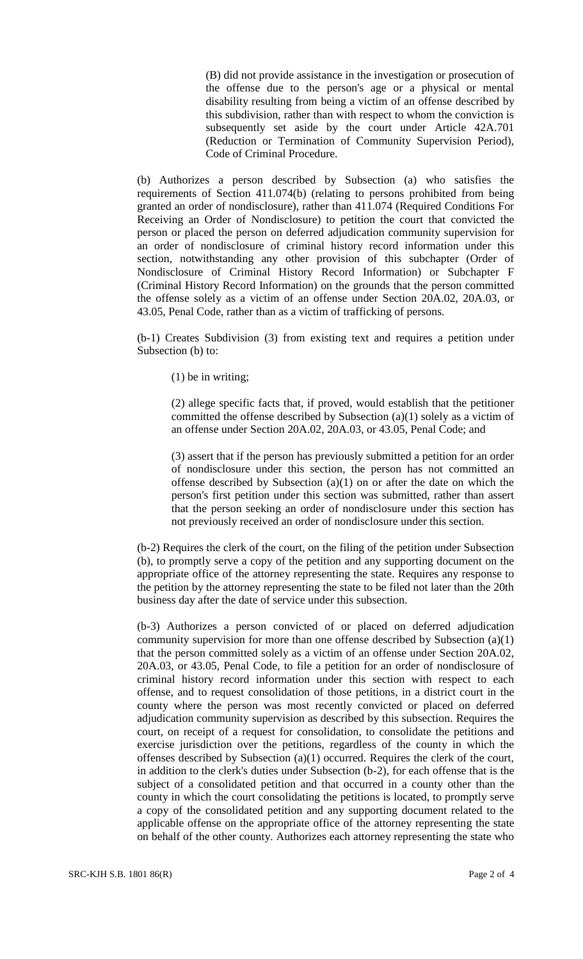(B) did not provide assistance in the investigation or prosecution of the offense due to the person's age or a physical or mental disability resulting from being a victim of an offense described by this subdivision, rather than with respect to whom the conviction is subsequently set aside by the court under Article 42A.701 (Reduction or Termination of Community Supervision Period), Code of Criminal Procedure.

(b) Authorizes a person described by Subsection (a) who satisfies the requirements of Section 411.074(b) (relating to persons prohibited from being granted an order of nondisclosure), rather than 411.074 (Required Conditions For Receiving an Order of Nondisclosure) to petition the court that convicted the person or placed the person on deferred adjudication community supervision for an order of nondisclosure of criminal history record information under this section, notwithstanding any other provision of this subchapter (Order of Nondisclosure of Criminal History Record Information) or Subchapter F (Criminal History Record Information) on the grounds that the person committed the offense solely as a victim of an offense under Section 20A.02, 20A.03, or 43.05, Penal Code, rather than as a victim of trafficking of persons.

(b-1) Creates Subdivision (3) from existing text and requires a petition under Subsection (b) to:

(1) be in writing;

(2) allege specific facts that, if proved, would establish that the petitioner committed the offense described by Subsection (a)(1) solely as a victim of an offense under Section 20A.02, 20A.03, or 43.05, Penal Code; and

(3) assert that if the person has previously submitted a petition for an order of nondisclosure under this section, the person has not committed an offense described by Subsection  $(a)(1)$  on or after the date on which the person's first petition under this section was submitted, rather than assert that the person seeking an order of nondisclosure under this section has not previously received an order of nondisclosure under this section.

(b-2) Requires the clerk of the court, on the filing of the petition under Subsection (b), to promptly serve a copy of the petition and any supporting document on the appropriate office of the attorney representing the state. Requires any response to the petition by the attorney representing the state to be filed not later than the 20th business day after the date of service under this subsection.

(b-3) Authorizes a person convicted of or placed on deferred adjudication community supervision for more than one offense described by Subsection (a)(1) that the person committed solely as a victim of an offense under Section 20A.02, 20A.03, or 43.05, Penal Code, to file a petition for an order of nondisclosure of criminal history record information under this section with respect to each offense, and to request consolidation of those petitions, in a district court in the county where the person was most recently convicted or placed on deferred adjudication community supervision as described by this subsection. Requires the court, on receipt of a request for consolidation, to consolidate the petitions and exercise jurisdiction over the petitions, regardless of the county in which the offenses described by Subsection (a)(1) occurred. Requires the clerk of the court, in addition to the clerk's duties under Subsection (b-2), for each offense that is the subject of a consolidated petition and that occurred in a county other than the county in which the court consolidating the petitions is located, to promptly serve a copy of the consolidated petition and any supporting document related to the applicable offense on the appropriate office of the attorney representing the state on behalf of the other county. Authorizes each attorney representing the state who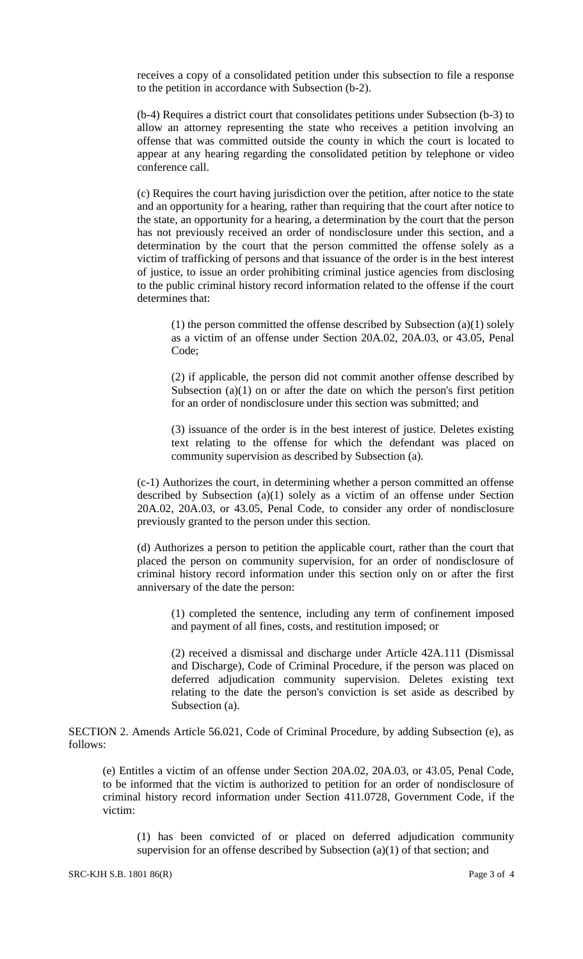receives a copy of a consolidated petition under this subsection to file a response to the petition in accordance with Subsection (b-2).

(b-4) Requires a district court that consolidates petitions under Subsection (b-3) to allow an attorney representing the state who receives a petition involving an offense that was committed outside the county in which the court is located to appear at any hearing regarding the consolidated petition by telephone or video conference call.

(c) Requires the court having jurisdiction over the petition, after notice to the state and an opportunity for a hearing, rather than requiring that the court after notice to the state, an opportunity for a hearing, a determination by the court that the person has not previously received an order of nondisclosure under this section, and a determination by the court that the person committed the offense solely as a victim of trafficking of persons and that issuance of the order is in the best interest of justice, to issue an order prohibiting criminal justice agencies from disclosing to the public criminal history record information related to the offense if the court determines that:

(1) the person committed the offense described by Subsection (a)(1) solely as a victim of an offense under Section 20A.02, 20A.03, or 43.05, Penal Code;

(2) if applicable, the person did not commit another offense described by Subsection  $(a)(1)$  on or after the date on which the person's first petition for an order of nondisclosure under this section was submitted; and

(3) issuance of the order is in the best interest of justice. Deletes existing text relating to the offense for which the defendant was placed on community supervision as described by Subsection (a).

(c-1) Authorizes the court, in determining whether a person committed an offense described by Subsection (a)(1) solely as a victim of an offense under Section 20A.02, 20A.03, or 43.05, Penal Code, to consider any order of nondisclosure previously granted to the person under this section.

(d) Authorizes a person to petition the applicable court, rather than the court that placed the person on community supervision, for an order of nondisclosure of criminal history record information under this section only on or after the first anniversary of the date the person:

(1) completed the sentence, including any term of confinement imposed and payment of all fines, costs, and restitution imposed; or

(2) received a dismissal and discharge under Article 42A.111 (Dismissal and Discharge), Code of Criminal Procedure, if the person was placed on deferred adjudication community supervision. Deletes existing text relating to the date the person's conviction is set aside as described by Subsection (a).

SECTION 2. Amends Article 56.021, Code of Criminal Procedure, by adding Subsection (e), as follows:

(e) Entitles a victim of an offense under Section 20A.02, 20A.03, or 43.05, Penal Code, to be informed that the victim is authorized to petition for an order of nondisclosure of criminal history record information under Section 411.0728, Government Code, if the victim:

(1) has been convicted of or placed on deferred adjudication community supervision for an offense described by Subsection (a)(1) of that section; and